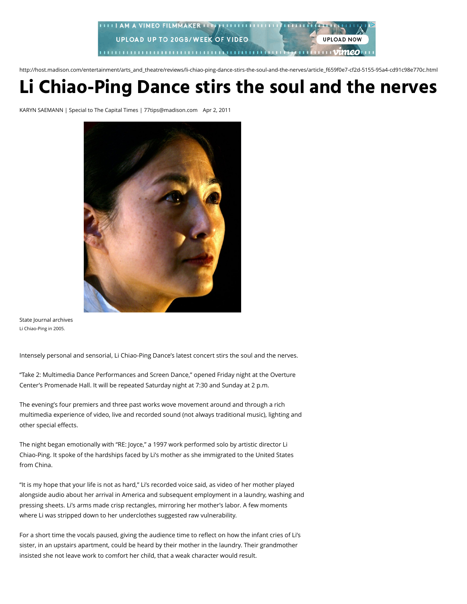

http://host.madison.com/entertainment/arts\_and\_theatre/reviews/li-chiao-ping-dance-stirs-the-soul-and-the-nerves/article\_f659f0e7-cf2d-5155-95a4-cd91c98e770c.html

## **Li Chiao-Ping Dance stirs the soul and the nerves**

KARYN SAEMANN | Special to The Capital Times | 77tips@madison.com Apr 2, 2011



State Journal archives Li Chiao-Ping in 2005.

Intensely personal and sensorial, Li Chiao-Ping Dance's latest concert stirs the soul and the nerves.

"Take 2: Multimedia Dance Performances and Screen Dance," opened Friday night at the Overture Center's Promenade Hall. It will be repeated Saturday night at 7:30 and Sunday at 2 p.m.

The evening's four premiers and three past works wove movement around and through a rich multimedia experience of video, live and recorded sound (not always traditional music), lighting and other special effects.

The night began emotionally with "RE: Joyce," a 1997 work performed solo by artistic director Li Chiao-Ping. It spoke of the hardships faced by Li's mother as she immigrated to the United States from China.

"It is my hope that your life is not as hard," Li's recorded voice said, as video of her mother played alongside audio about her arrival in America and subsequent employment in a laundry, washing and pressing sheets. Li's arms made crisp rectangles, mirroring her mother's labor. A few moments where Li was stripped down to her underclothes suggested raw vulnerability.

For a short time the vocals paused, giving the audience time to reflect on how the infant cries of Li's sister, in an upstairs apartment, could be heard by their mother in the laundry. Their grandmother insisted she not leave work to comfort her child, that a weak character would result.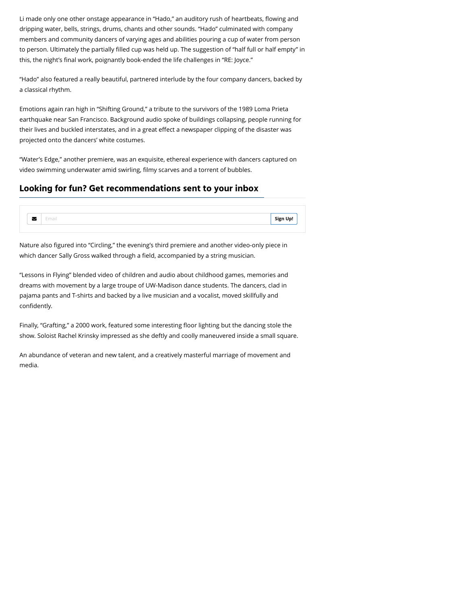Li made only one other onstage appearance in "Hado," an auditory rush of heartbeats, flowing and dripping water, bells, strings, drums, chants and other sounds. "Hado" culminated with company members and community dancers of varying ages and abilities pouring a cup of water from person to person. Ultimately the partially filled cup was held up. The suggestion of "half full or half empty" in this, the night's final work, poignantly book-ended the life challenges in "RE: Joyce."

"Hado" also featured a really beautiful, partnered interlude by the four company dancers, backed by a classical rhythm.

Emotions again ran high in "Shifting Ground," a tribute to the survivors of the 1989 Loma Prieta earthquake near San Francisco. Background audio spoke of buildings collapsing, people running for their lives and buckled interstates, and in a great effect a newspaper clipping of the disaster was projected onto the dancers' white costumes.

"Water's Edge," another premiere, was an exquisite, ethereal experience with dancers captured on video swimming underwater amid swirling, filmy scarves and a torrent of bubbles.

## **Looking for fun? Get recommendations sent to your inbox**



Nature also figured into "Circling," the evening's third premiere and another video-only piece in which dancer Sally Gross walked through a field, accompanied by a string musician.

"Lessons in Flying" blended video of children and audio about childhood games, memories and dreams with movement by a large troupe of UW-Madison dance students. The dancers, clad in pajama pants and T-shirts and backed by a live musician and a vocalist, moved skillfully and confidently.

Finally, "Grafting," a 2000 work, featured some interesting floor lighting but the dancing stole the show. Soloist Rachel Krinsky impressed as she deftly and coolly maneuvered inside a small square.

An abundance of veteran and new talent, and a creatively masterful marriage of movement and media.